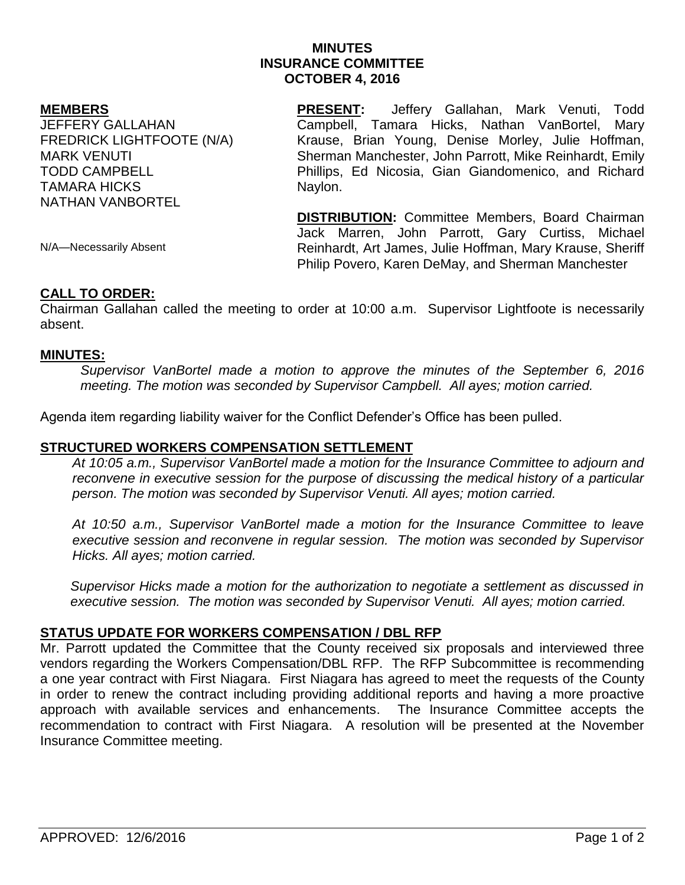# **MINUTES INSURANCE COMMITTEE OCTOBER 4, 2016**

### **MEMBERS**

JEFFERY GALLAHAN FREDRICK LIGHTFOOTE (N/A) MARK VENUTI TODD CAMPBELL TAMARA HICKS NATHAN VANBORTEL

**PRESENT:** Jeffery Gallahan, Mark Venuti, Todd Campbell, Tamara Hicks, Nathan VanBortel, Mary Krause, Brian Young, Denise Morley, Julie Hoffman, Sherman Manchester, John Parrott, Mike Reinhardt, Emily Phillips, Ed Nicosia, Gian Giandomenico, and Richard Naylon.

**DISTRIBUTION:** Committee Members, Board Chairman Jack Marren, John Parrott, Gary Curtiss, Michael Reinhardt, Art James, Julie Hoffman, Mary Krause, Sheriff Philip Povero, Karen DeMay, and Sherman Manchester

N/A—Necessarily Absent

### **CALL TO ORDER:**

Chairman Gallahan called the meeting to order at 10:00 a.m. Supervisor Lightfoote is necessarily absent.

### **MINUTES:**

*Supervisor VanBortel made a motion to approve the minutes of the September 6, 2016 meeting. The motion was seconded by Supervisor Campbell. All ayes; motion carried.* 

Agenda item regarding liability waiver for the Conflict Defender's Office has been pulled.

## **STRUCTURED WORKERS COMPENSATION SETTLEMENT**

*At 10:05 a.m., Supervisor VanBortel made a motion for the Insurance Committee to adjourn and reconvene in executive session for the purpose of discussing the medical history of a particular person. The motion was seconded by Supervisor Venuti. All ayes; motion carried.*

*At 10:50 a.m., Supervisor VanBortel made a motion for the Insurance Committee to leave executive session and reconvene in regular session. The motion was seconded by Supervisor Hicks. All ayes; motion carried.* 

*Supervisor Hicks made a motion for the authorization to negotiate a settlement as discussed in executive session. The motion was seconded by Supervisor Venuti. All ayes; motion carried.*

# **STATUS UPDATE FOR WORKERS COMPENSATION / DBL RFP**

Mr. Parrott updated the Committee that the County received six proposals and interviewed three vendors regarding the Workers Compensation/DBL RFP. The RFP Subcommittee is recommending a one year contract with First Niagara. First Niagara has agreed to meet the requests of the County in order to renew the contract including providing additional reports and having a more proactive approach with available services and enhancements. The Insurance Committee accepts the recommendation to contract with First Niagara. A resolution will be presented at the November Insurance Committee meeting.